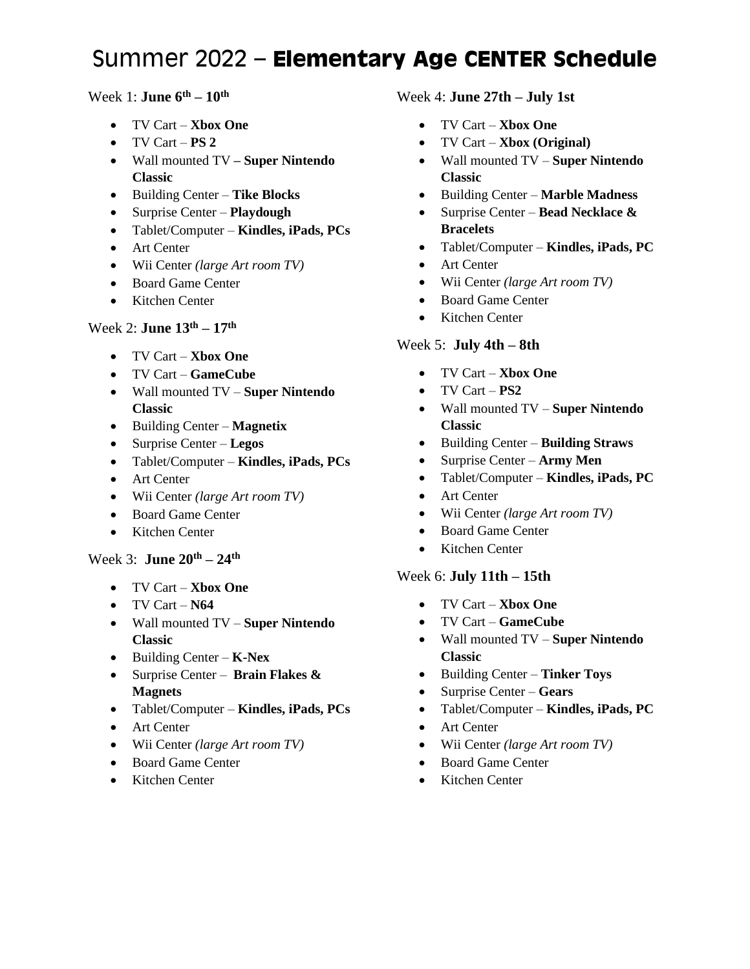# Summer 2022 – **Elementary Age CENTER Schedule**

# Week 1: **June 6th – 10th**

- TV Cart **Xbox One**
- TV Cart **PS 2**
- Wall mounted TV **– Super Nintendo Classic**
- Building Center **Tike Blocks**
- Surprise Center **Playdough**
- Tablet/Computer **Kindles, iPads, PCs**
- Art Center
- Wii Center *(large Art room TV)*
- Board Game Center
- Kitchen Center

# Week 2: **June 13th – 17th**

- TV Cart **Xbox One**
- TV Cart **GameCube**
- Wall mounted TV **Super Nintendo Classic**
- Building Center **Magnetix**
- Surprise Center **Legos**
- Tablet/Computer **Kindles, iPads, PCs**
- Art Center
- Wii Center *(large Art room TV)*
- Board Game Center
- Kitchen Center

#### Week 3: **June 20th – 24th**

- TV Cart **Xbox One**
- TV Cart **N64**
- Wall mounted TV **Super Nintendo Classic**
- Building Center **K-Nex**
- Surprise Center **Brain Flakes & Magnets**
- Tablet/Computer **Kindles, iPads, PCs**
- Art Center
- Wii Center *(large Art room TV)*
- Board Game Center
- Kitchen Center

#### Week 4: **June 27th – July 1st**

- TV Cart **Xbox One**
- TV Cart **Xbox (Original)**
- Wall mounted TV **Super Nintendo Classic**
- Building Center **Marble Madness**
- Surprise Center **Bead Necklace & Bracelets**
- Tablet/Computer **Kindles, iPads, PC**
- Art Center
- Wii Center *(large Art room TV)*
- Board Game Center
- Kitchen Center

### Week 5: **July 4th – 8th**

- TV Cart **Xbox One**
- TV Cart **PS2**
- Wall mounted TV **Super Nintendo Classic**
- Building Center **Building Straws**
- Surprise Center **Army Men**
- Tablet/Computer **Kindles, iPads, PC**
- Art Center
- Wii Center *(large Art room TV)*
- Board Game Center
- Kitchen Center

#### Week 6: **July 11th – 15th**

- TV Cart **Xbox One**
- TV Cart **GameCube**
- Wall mounted TV **Super Nintendo Classic**
- Building Center **Tinker Toys**
- Surprise Center **Gears**
- Tablet/Computer **Kindles, iPads, PC**
- Art Center
- Wii Center *(large Art room TV)*
- Board Game Center
- Kitchen Center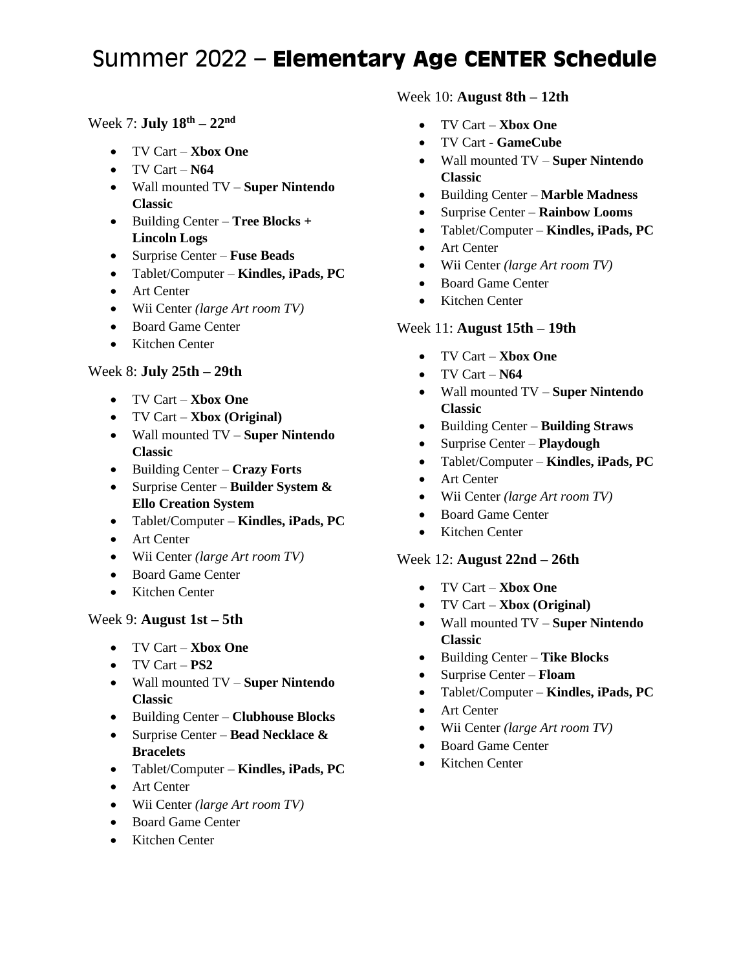# Summer 2022 – **Elementary Age CENTER Schedule**

# Week 7: **July 18th – 22nd**

- TV Cart **Xbox One**
- TV Cart **N64**
- Wall mounted TV **Super Nintendo Classic**
- Building Center **Tree Blocks + Lincoln Logs**
- Surprise Center **Fuse Beads**
- Tablet/Computer **Kindles, iPads, PC**
- Art Center
- Wii Center *(large Art room TV)*
- Board Game Center
- Kitchen Center

# Week 8: **July 25th – 29th**

- TV Cart **Xbox One**
- TV Cart **Xbox (Original)**
- Wall mounted TV **Super Nintendo Classic**
- Building Center **Crazy Forts**
- Surprise Center **Builder System & Ello Creation System**
- Tablet/Computer **Kindles, iPads, PC**
- Art Center
- Wii Center *(large Art room TV)*
- Board Game Center
- Kitchen Center

# Week 9: **August 1st – 5th**

- TV Cart **Xbox One**
- TV Cart **PS2**
- Wall mounted TV **Super Nintendo Classic**
- Building Center **Clubhouse Blocks**
- Surprise Center **Bead Necklace & Bracelets**
- Tablet/Computer **Kindles, iPads, PC**
- Art Center
- Wii Center *(large Art room TV)*
- Board Game Center
- Kitchen Center

### Week 10: **August 8th – 12th**

- TV Cart **Xbox One**
- TV Cart **GameCube**
- Wall mounted TV **Super Nintendo Classic**
- Building Center **Marble Madness**
- Surprise Center **Rainbow Looms**
- Tablet/Computer **Kindles, iPads, PC**
- Art Center
- Wii Center *(large Art room TV)*
- Board Game Center
- Kitchen Center

# Week 11: **August 15th – 19th**

- TV Cart **Xbox One**
- TV Cart **N64**
- Wall mounted TV **Super Nintendo Classic**
- Building Center **Building Straws**
- Surprise Center **Playdough**
- Tablet/Computer **Kindles, iPads, PC**
- Art Center
- Wii Center *(large Art room TV)*
- Board Game Center
- Kitchen Center

# Week 12: **August 22nd – 26th**

- TV Cart **Xbox One**
- TV Cart **Xbox (Original)**
- Wall mounted TV **Super Nintendo Classic**
- Building Center **Tike Blocks**
- Surprise Center **Floam**
- Tablet/Computer **Kindles, iPads, PC**
- Art Center
- Wii Center *(large Art room TV)*
- Board Game Center
- Kitchen Center